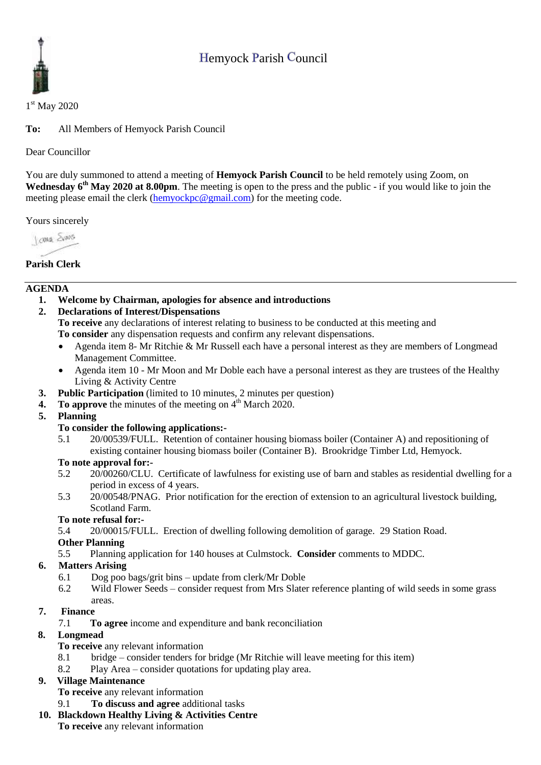# Hemyock Parish Council



1<sup>st</sup> May 2020

**To:** All Members of Hemyock Parish Council

### Dear Councillor

You are duly summoned to attend a meeting of **Hemyock Parish Council** to be held remotely using Zoom, on Wednesday 6<sup>th</sup> May 2020 at 8.00pm. The meeting is open to the press and the public - if you would like to join the meeting please email the clerk [\(hemyockpc@gmail.com\)](mailto:hemyockpc@gmail.com) for the meeting code.

Yours sincerely

Jame Sans

# **Parish Clerk**

### **AGENDA**

- **1. Welcome by Chairman, apologies for absence and introductions**
- **2. Declarations of Interest/Dispensations**

**To receive** any declarations of interest relating to business to be conducted at this meeting and **To consider** any dispensation requests and confirm any relevant dispensations.

- Agenda item 8- Mr Ritchie & Mr Russell each have a personal interest as they are members of Longmead Management Committee.
- Agenda item 10 Mr Moon and Mr Doble each have a personal interest as they are trustees of the Healthy Living & Activity Centre
- **3. Public Participation** (limited to 10 minutes, 2 minutes per question)
- **4.** To approve the minutes of the meeting on 4<sup>th</sup> March 2020.
- **5. Planning**

### **To consider the following applications:-**

5.1 20/00539/FULL. Retention of container housing biomass boiler (Container A) and repositioning of existing container housing biomass boiler (Container B). Brookridge Timber Ltd, Hemyock.

### **To note approval for:-**

- 5.2 20/00260/CLU. Certificate of lawfulness for existing use of barn and stables as residential dwelling for a period in excess of 4 years.
- 5.3 20/00548/PNAG. Prior notification for the erection of extension to an agricultural livestock building, Scotland Farm.

### **To note refusal for:-**

5.4 20/00015/FULL. Erection of dwelling following demolition of garage. 29 Station Road.

### **Other Planning**

5.5 Planning application for 140 houses at Culmstock. **Consider** comments to MDDC.

## **6. Matters Arising**

- 6.1 Dog poo bags/grit bins update from clerk/Mr Doble
- 6.2 Wild Flower Seeds consider request from Mrs Slater reference planting of wild seeds in some grass areas.

## **7. Finance**

7.1 **To agree** income and expenditure and bank reconciliation

### **8. Longmead**

- **To receive** any relevant information
- 8.1 bridge consider tenders for bridge (Mr Ritchie will leave meeting for this item)
- 8.2 Play Area consider quotations for updating play area.

## **9. Village Maintenance**

**To receive** any relevant information

9.1 **To discuss and agree** additional tasks

## **10. Blackdown Healthy Living & Activities Centre**

**To receive** any relevant information